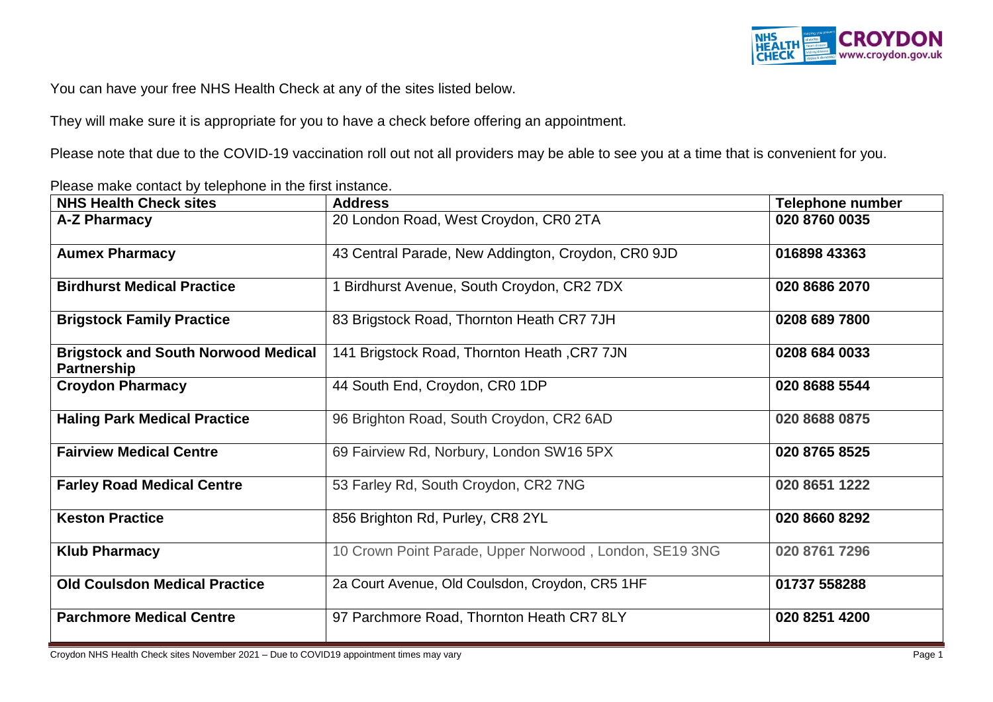

You can have your free NHS Health Check at any of the sites listed below.

They will make sure it is appropriate for you to have a check before offering an appointment.

Please note that due to the COVID-19 vaccination roll out not all providers may be able to see you at a time that is convenient for you.

Please make contact by telephone in the first instance.

| <b>NHS Health Check sites</b>                                    | <b>Address</b>                                         | <b>Telephone number</b> |
|------------------------------------------------------------------|--------------------------------------------------------|-------------------------|
| A-Z Pharmacy                                                     | 20 London Road, West Croydon, CR0 2TA                  | 020 8760 0035           |
| <b>Aumex Pharmacy</b>                                            | 43 Central Parade, New Addington, Croydon, CR0 9JD     | 016898 43363            |
| <b>Birdhurst Medical Practice</b>                                | Birdhurst Avenue, South Croydon, CR2 7DX               | 020 8686 2070           |
| <b>Brigstock Family Practice</b>                                 | 83 Brigstock Road, Thornton Heath CR7 7JH              | 0208 689 7800           |
| <b>Brigstock and South Norwood Medical</b><br><b>Partnership</b> | 141 Brigstock Road, Thornton Heath, CR7 7JN            | 0208 684 0033           |
| <b>Croydon Pharmacy</b>                                          | 44 South End, Croydon, CR0 1DP                         | 020 8688 5544           |
| <b>Haling Park Medical Practice</b>                              | 96 Brighton Road, South Croydon, CR2 6AD               | 020 8688 0875           |
| <b>Fairview Medical Centre</b>                                   | 69 Fairview Rd, Norbury, London SW16 5PX               | 020 8765 8525           |
| <b>Farley Road Medical Centre</b>                                | 53 Farley Rd, South Croydon, CR2 7NG                   | 020 8651 1222           |
| <b>Keston Practice</b>                                           | 856 Brighton Rd, Purley, CR8 2YL                       | 020 8660 8292           |
| <b>Klub Pharmacy</b>                                             | 10 Crown Point Parade, Upper Norwood, London, SE19 3NG | 020 8761 7296           |
| <b>Old Coulsdon Medical Practice</b>                             | 2a Court Avenue, Old Coulsdon, Croydon, CR5 1HF        | 01737 558288            |
| <b>Parchmore Medical Centre</b>                                  | 97 Parchmore Road, Thornton Heath CR7 8LY              | 020 8251 4200           |

Croydon NHS Health Check sites November 2021 – Due to COVID19 appointment times may vary Page 1